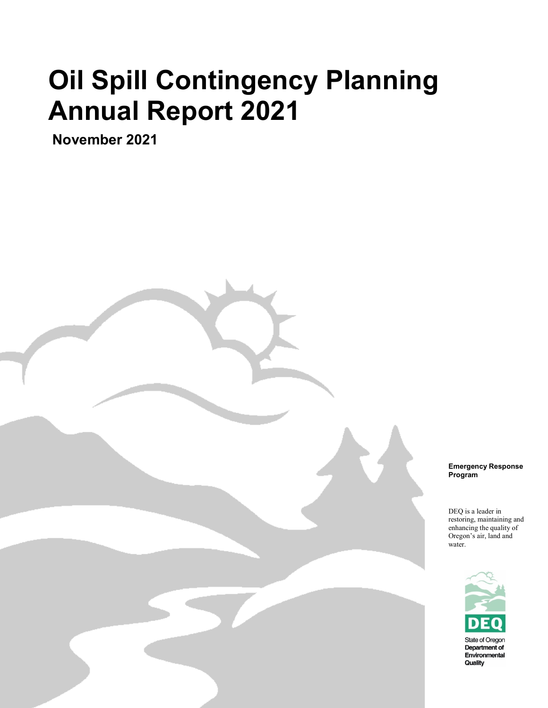# **Oil Spill Contingency Planning Annual Report 2021**

**November 2021**

Oregon Department of Environmental Quality

**Emergency Response Program**

DEQ is a leader in restoring, maintaining and enhancing the quality of Oregon's air, land and water.

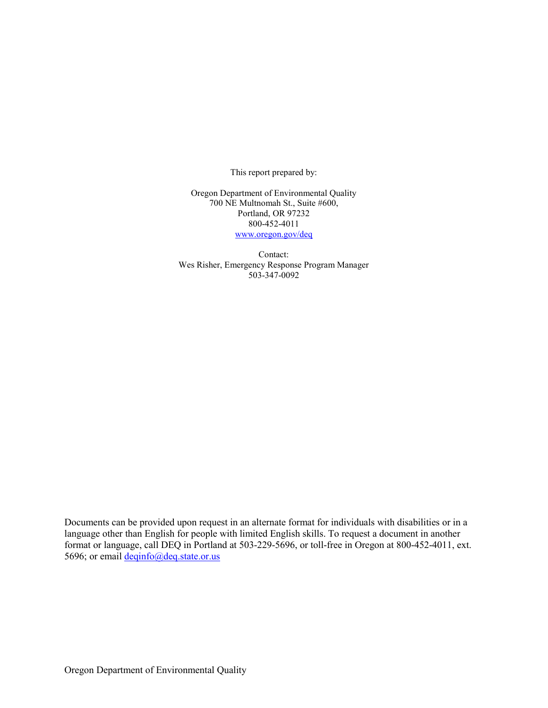This report prepared by:

Oregon Department of Environmental Quality 700 NE Multnomah St., Suite #600, Portland, OR 97232 800-452-4011 [www.oregon.gov/deq](http://www.oregon.gov/deq)

Contact: Wes Risher, Emergency Response Program Manager 503-347-0092

Documents can be provided upon request in an alternate format for individuals with disabilities or in a language other than English for people with limited English skills. To request a document in another format or language, call DEQ in Portland at 503-229-5696, or toll-free in Oregon at 800-452-4011, ext. 5696; or email [deqinfo@deq.state.or.us](mailto:deqinfo@deq.state.or.us)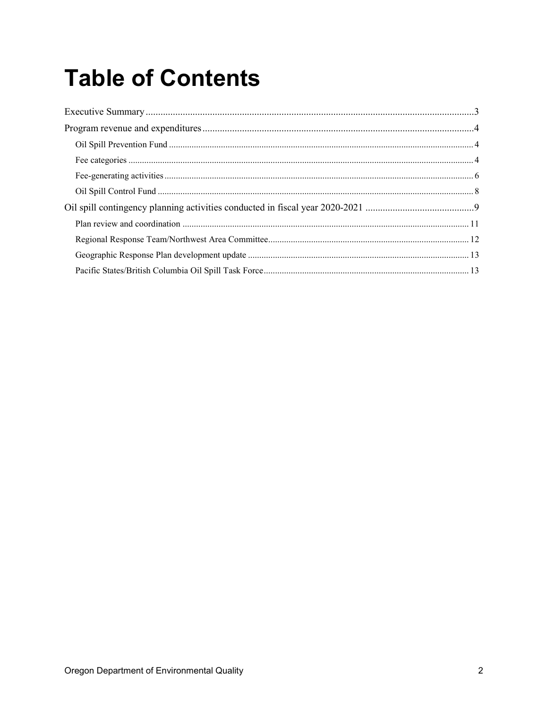## **Table of Contents**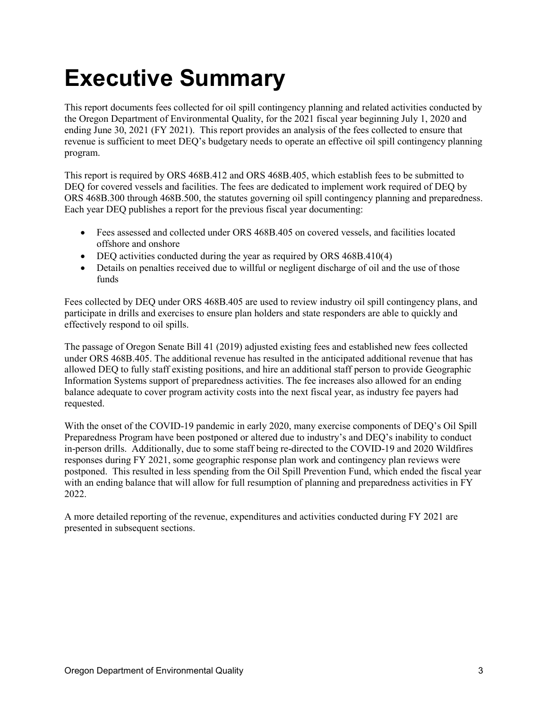## <span id="page-3-0"></span>**Executive Summary**

This report documents fees collected for oil spill contingency planning and related activities conducted by the Oregon Department of Environmental Quality, for the 2021 fiscal year beginning July 1, 2020 and ending June 30, 2021 (FY 2021). This report provides an analysis of the fees collected to ensure that revenue is sufficient to meet DEQ's budgetary needs to operate an effective oil spill contingency planning program.

This report is required by ORS 468B.412 and ORS 468B.405, which establish fees to be submitted to DEQ for covered vessels and facilities. The fees are dedicated to implement work required of DEQ by ORS 468B.300 through 468B.500, the statutes governing oil spill contingency planning and preparedness. Each year DEQ publishes a report for the previous fiscal year documenting:

- Fees assessed and collected under ORS 468B.405 on covered vessels, and facilities located offshore and onshore
- DEQ activities conducted during the year as required by ORS 468B.410(4)
- Details on penalties received due to willful or negligent discharge of oil and the use of those funds

Fees collected by DEQ under ORS 468B.405 are used to review industry oil spill contingency plans, and participate in drills and exercises to ensure plan holders and state responders are able to quickly and effectively respond to oil spills.

The passage of Oregon Senate Bill 41 (2019) adjusted existing fees and established new fees collected under ORS 468B.405. The additional revenue has resulted in the anticipated additional revenue that has allowed DEQ to fully staff existing positions, and hire an additional staff person to provide Geographic Information Systems support of preparedness activities. The fee increases also allowed for an ending balance adequate to cover program activity costs into the next fiscal year, as industry fee payers had requested.

With the onset of the COVID-19 pandemic in early 2020, many exercise components of DEQ's Oil Spill Preparedness Program have been postponed or altered due to industry's and DEQ's inability to conduct in-person drills. Additionally, due to some staff being re-directed to the COVID-19 and 2020 Wildfires responses during FY 2021, some geographic response plan work and contingency plan reviews were postponed. This resulted in less spending from the Oil Spill Prevention Fund, which ended the fiscal year with an ending balance that will allow for full resumption of planning and preparedness activities in FY 2022.

A more detailed reporting of the revenue, expenditures and activities conducted during FY 2021 are presented in subsequent sections.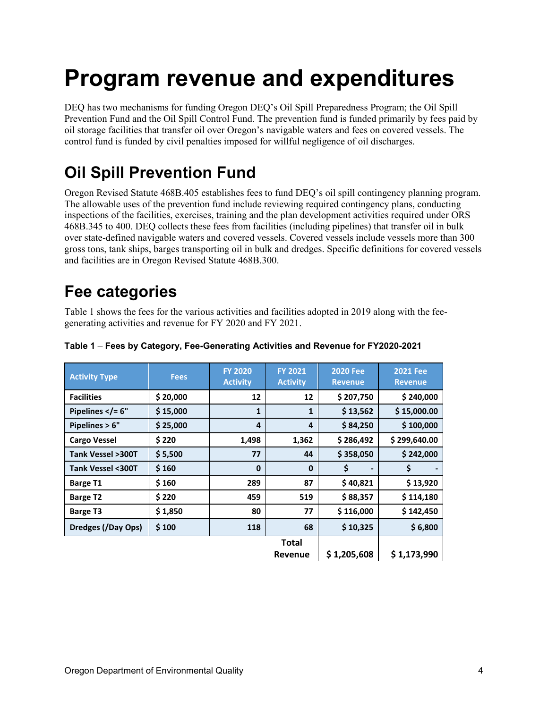### <span id="page-4-0"></span>**Program revenue and expenditures**

DEQ has two mechanisms for funding Oregon DEQ's Oil Spill Preparedness Program; the Oil Spill Prevention Fund and the Oil Spill Control Fund. The prevention fund is funded primarily by fees paid by oil storage facilities that transfer oil over Oregon's navigable waters and fees on covered vessels. The control fund is funded by civil penalties imposed for willful negligence of oil discharges.

### <span id="page-4-1"></span>**Oil Spill Prevention Fund**

Oregon Revised Statute 468B.405 establishes fees to fund DEQ's oil spill contingency planning program. The allowable uses of the prevention fund include reviewing required contingency plans, conducting inspections of the facilities, exercises, training and the plan development activities required under ORS 468B.345 to 400. DEQ collects these fees from facilities (including pipelines) that transfer oil in bulk over state-defined navigable waters and covered vessels. Covered vessels include vessels more than 300 gross tons, tank ships, barges transporting oil in bulk and dredges. Specific definitions for covered vessels and facilities are in Oregon Revised Statute 468B.300.

### <span id="page-4-2"></span>**Fee categories**

Table 1 shows the fees for the various activities and facilities adopted in 2019 along with the feegenerating activities and revenue for FY 2020 and FY 2021.

| <b>Activity Type</b>        | <b>Fees</b> | <b>FY 2020</b><br><b>Activity</b> | <b>FY 2021</b><br><b>Activity</b> | <b>2020 Fee</b><br><b>Revenue</b> | <b>2021 Fee</b><br><b>Revenue</b> |
|-----------------------------|-------------|-----------------------------------|-----------------------------------|-----------------------------------|-----------------------------------|
| <b>Facilities</b>           | \$20,000    | 12                                | 12                                | \$207,750                         | \$240,000                         |
| Pipelines $\langle$ = 6"    | \$15,000    | 1                                 | 1                                 | \$13,562                          | \$15,000.00                       |
| Pipelines $> 6"$            | \$25,000    | 4                                 | $\overline{4}$                    | \$84,250                          | \$100,000                         |
| <b>Cargo Vessel</b>         | \$220       | 1,498                             | 1,362                             | \$286,492                         | \$299,640.00                      |
| Tank Vessel >300T           | \$5,500     | 77                                | 44                                | \$358,050                         | \$242,000                         |
| <b>Tank Vessel &lt;300T</b> | \$160       | $\mathbf 0$                       | $\mathbf 0$                       | \$                                | \$                                |
| <b>Barge T1</b>             | \$160       | 289                               | 87                                | \$40,821                          | \$13,920                          |
| <b>Barge T2</b>             | \$220       | 459                               | 519                               | \$88,357                          | \$114,180                         |
| <b>Barge T3</b>             | \$1,850     | 80                                | 77                                | \$116,000                         | \$142,450                         |
| Dredges (/Day Ops)          | \$100       | 118                               | 68                                | \$10,325                          | \$6,800                           |
|                             |             |                                   | <b>Total</b><br>Revenue           | \$1,205,608                       | \$1,173,990                       |

#### **Table 1** – **Fees by Category, Fee-Generating Activities and Revenue for FY2020-2021**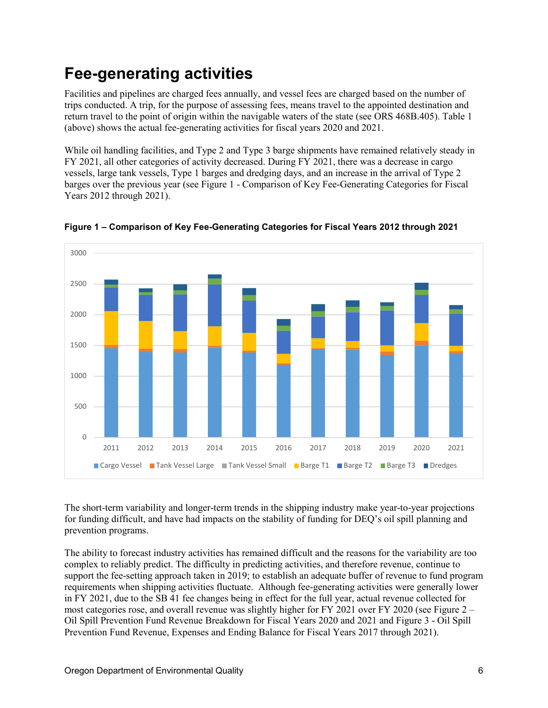### <span id="page-5-0"></span>**Fee-generating activities**

Facilities and pipelines are charged fees annually, and vessel fees are charged based on the number of trips conducted. A trip, for the purpose of assessing fees, means travel to the appointed destination and return travel to the point of origin within the navigable waters of the state (see ORS 468B.405). Table 1 (above) shows the actual fee-generating activities for fiscal years 2020 and 2021.

While oil handling facilities, and Type 2 and Type 3 barge shipments have remained relatively steady in FY 2021, all other categories of activity decreased. During FY 2021, there was a decrease in cargo vessels, large tank vessels, Type 1 barges and dredging days, and an increase in the arrival of Type 2 barges over the previous year (see Figure 1 - Comparison of Key Fee-Generating Categories for Fiscal Years 2012 through 2021).



**Figure 1 – Comparison of Key Fee-Generating Categories for Fiscal Years 2012 through 2021**

The short-term variability and longer-term trends in the shipping industry make year-to-year projections for funding difficult, and have had impacts on the stability of funding for DEQ's oil spill planning and prevention programs.

The ability to forecast industry activities has remained difficult and the reasons for the variability are too complex to reliably predict. The difficulty in predicting activities, and therefore revenue, continue to support the fee-setting approach taken in 2019; to establish an adequate buffer of revenue to fund program requirements when shipping activities fluctuate. Although fee-generating activities were generally lower in FY 2021, due to the SB 41 fee changes being in effect for the full year, actual revenue collected for most categories rose, and overall revenue was slightly higher for FY 2021 over FY 2020 (see Figure 2 – Oil Spill Prevention Fund Revenue Breakdown for Fiscal Years 2020 and 2021 and Figure 3 - Oil Spill Prevention Fund Revenue, Expenses and Ending Balance for Fiscal Years 2017 through 2021).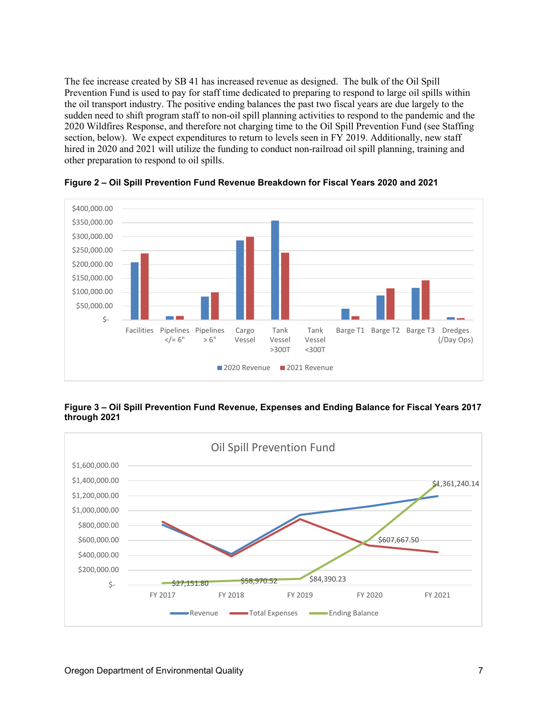The fee increase created by SB 41 has increased revenue as designed. The bulk of the Oil Spill Prevention Fund is used to pay for staff time dedicated to preparing to respond to large oil spills within the oil transport industry. The positive ending balances the past two fiscal years are due largely to the sudden need to shift program staff to non-oil spill planning activities to respond to the pandemic and the 2020 Wildfires Response, and therefore not charging time to the Oil Spill Prevention Fund (see Staffing section, below). We expect expenditures to return to levels seen in FY 2019. Additionally, new staff hired in 2020 and 2021 will utilize the funding to conduct non-railroad oil spill planning, training and other preparation to respond to oil spills.



**Figure 2 – Oil Spill Prevention Fund Revenue Breakdown for Fiscal Years 2020 and 2021**

**Figure 3 – Oil Spill Prevention Fund Revenue, Expenses and Ending Balance for Fiscal Years 2017 through 2021**

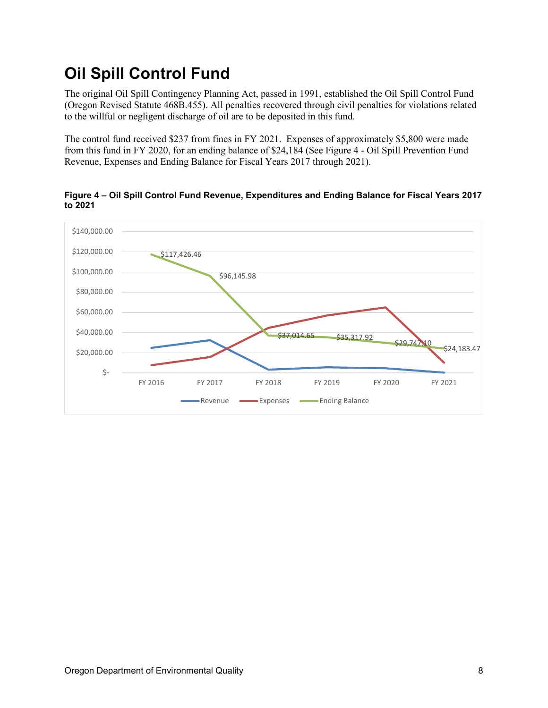### <span id="page-7-0"></span>**Oil Spill Control Fund**

The original Oil Spill Contingency Planning Act, passed in 1991, established the Oil Spill Control Fund (Oregon Revised Statute 468B.455). All penalties recovered through civil penalties for violations related to the willful or negligent discharge of oil are to be deposited in this fund.

The control fund received \$237 from fines in FY 2021. Expenses of approximately \$5,800 were made from this fund in FY 2020, for an ending balance of \$24,184 (See Figure 4 - Oil Spill Prevention Fund Revenue, Expenses and Ending Balance for Fiscal Years 2017 through 2021).



**Figure 4 – Oil Spill Control Fund Revenue, Expenditures and Ending Balance for Fiscal Years 2017 to 2021**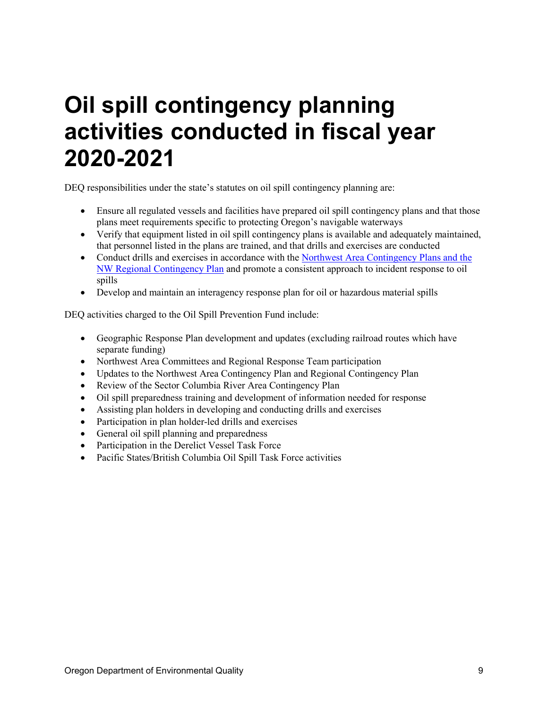### <span id="page-8-0"></span>**Oil spill contingency planning activities conducted in fiscal year 2020-2021**

DEQ responsibilities under the state's statutes on oil spill contingency planning are:

- Ensure all regulated vessels and facilities have prepared oil spill contingency plans and that those plans meet requirements specific to protecting Oregon's navigable waterways
- Verify that equipment listed in oil spill contingency plans is available and adequately maintained, that personnel listed in the plans are trained, and that drills and exercises are conducted
- Conduct drills and exercises in accordance with the [Northwest Area Contingency Plans](https://www.rrt10nwac.com/NWACP/Default.aspx) and the NW Regional Contingency Plan and promote a consistent approach to incident response to oil spills
- Develop and maintain an interagency response plan for oil or hazardous material spills

DEQ activities charged to the Oil Spill Prevention Fund include:

- Geographic Response Plan development and updates (excluding railroad routes which have separate funding)
- Northwest Area Committees and Regional Response Team participation
- Updates to the Northwest Area Contingency Plan and Regional Contingency Plan
- Review of the Sector Columbia River Area Contingency Plan
- Oil spill preparedness training and development of information needed for response
- Assisting plan holders in developing and conducting drills and exercises
- Participation in plan holder-led drills and exercises
- General oil spill planning and preparedness
- Participation in the Derelict Vessel Task Force
- Pacific States/British Columbia Oil Spill Task Force activities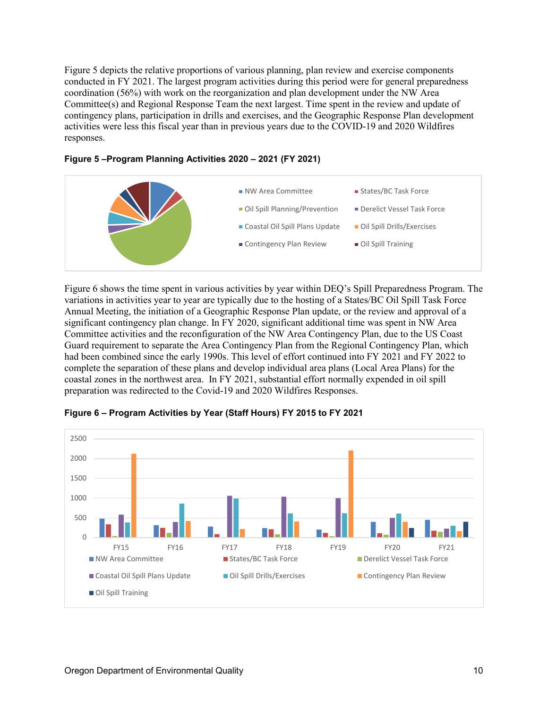Figure 5 depicts the relative proportions of various planning, plan review and exercise components conducted in FY 2021. The largest program activities during this period were for general preparedness coordination (56%) with work on the reorganization and plan development under the NW Area Committee(s) and Regional Response Team the next largest. Time spent in the review and update of contingency plans, participation in drills and exercises, and the Geographic Response Plan development activities were less this fiscal year than in previous years due to the COVID-19 and 2020 Wildfires responses.





Figure 6 shows the time spent in various activities by year within DEQ's Spill Preparedness Program. The variations in activities year to year are typically due to the hosting of a States/BC Oil Spill Task Force Annual Meeting, the initiation of a Geographic Response Plan update, or the review and approval of a significant contingency plan change. In FY 2020, significant additional time was spent in NW Area Committee activities and the reconfiguration of the NW Area Contingency Plan, due to the US Coast Guard requirement to separate the Area Contingency Plan from the Regional Contingency Plan, which had been combined since the early 1990s. This level of effort continued into FY 2021 and FY 2022 to complete the separation of these plans and develop individual area plans (Local Area Plans) for the coastal zones in the northwest area. In FY 2021, substantial effort normally expended in oil spill preparation was redirected to the Covid-19 and 2020 Wildfires Responses.



**Figure 6 – Program Activities by Year (Staff Hours) FY 2015 to FY 2021**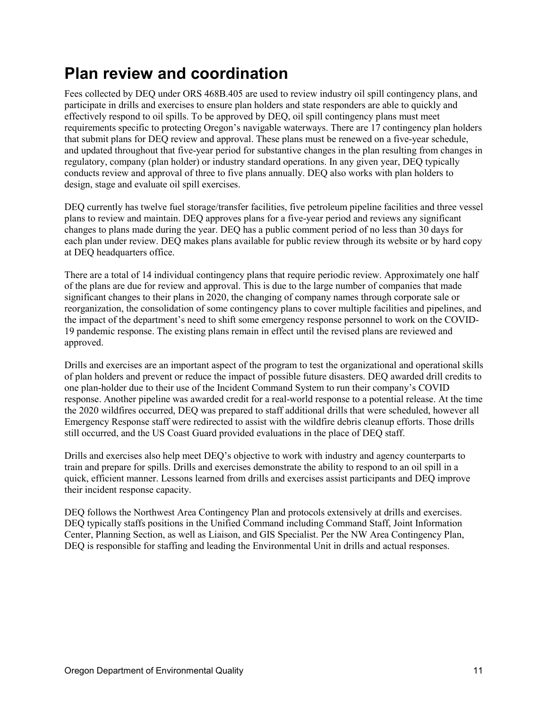#### <span id="page-10-0"></span>**Plan review and coordination**

Fees collected by DEQ under ORS 468B.405 are used to review industry oil spill contingency plans, and participate in drills and exercises to ensure plan holders and state responders are able to quickly and effectively respond to oil spills. To be approved by DEQ, oil spill contingency plans must meet requirements specific to protecting Oregon's navigable waterways. There are 17 contingency plan holders that submit plans for DEQ review and approval. These plans must be renewed on a five-year schedule, and updated throughout that five-year period for substantive changes in the plan resulting from changes in regulatory, company (plan holder) or industry standard operations. In any given year, DEQ typically conducts review and approval of three to five plans annually. DEQ also works with plan holders to design, stage and evaluate oil spill exercises.

DEQ currently has twelve fuel storage/transfer facilities, five petroleum pipeline facilities and three vessel plans to review and maintain. DEQ approves plans for a five-year period and reviews any significant changes to plans made during the year. DEQ has a public comment period of no less than 30 days for each plan under review. DEQ makes plans available for public review through its website or by hard copy at DEQ headquarters office.

There are a total of 14 individual contingency plans that require periodic review. Approximately one half of the plans are due for review and approval. This is due to the large number of companies that made significant changes to their plans in 2020, the changing of company names through corporate sale or reorganization, the consolidation of some contingency plans to cover multiple facilities and pipelines, and the impact of the department's need to shift some emergency response personnel to work on the COVID-19 pandemic response. The existing plans remain in effect until the revised plans are reviewed and approved.

Drills and exercises are an important aspect of the program to test the organizational and operational skills of plan holders and prevent or reduce the impact of possible future disasters. DEQ awarded drill credits to one plan-holder due to their use of the Incident Command System to run their company's COVID response. Another pipeline was awarded credit for a real-world response to a potential release. At the time the 2020 wildfires occurred, DEQ was prepared to staff additional drills that were scheduled, however all Emergency Response staff were redirected to assist with the wildfire debris cleanup efforts. Those drills still occurred, and the US Coast Guard provided evaluations in the place of DEQ staff.

Drills and exercises also help meet DEQ's objective to work with industry and agency counterparts to train and prepare for spills. Drills and exercises demonstrate the ability to respond to an oil spill in a quick, efficient manner. Lessons learned from drills and exercises assist participants and DEQ improve their incident response capacity.

DEQ follows the Northwest Area Contingency Plan and protocols extensively at drills and exercises. DEQ typically staffs positions in the Unified Command including Command Staff, Joint Information Center, Planning Section, as well as Liaison, and GIS Specialist. Per the NW Area Contingency Plan, DEQ is responsible for staffing and leading the Environmental Unit in drills and actual responses.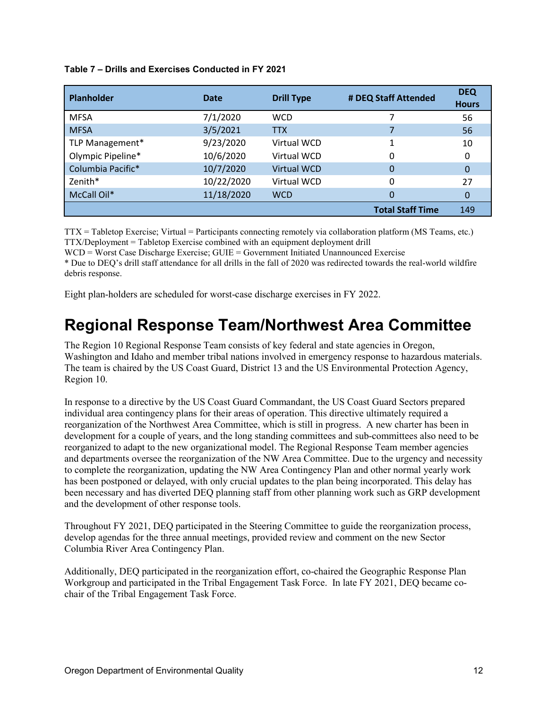| Table 7 – Drills and Exercises Conducted in FY 2021 |  |  |
|-----------------------------------------------------|--|--|
|                                                     |  |  |

| <b>Planholder</b> | Date       | <b>Drill Type</b>  | # DEQ Staff Attended    | <b>DEQ</b><br><b>Hours</b> |
|-------------------|------------|--------------------|-------------------------|----------------------------|
| <b>MFSA</b>       | 7/1/2020   | <b>WCD</b>         |                         | 56                         |
| <b>MFSA</b>       | 3/5/2021   | <b>TTX</b>         |                         | 56                         |
| TLP Management*   | 9/23/2020  | Virtual WCD        |                         | 10                         |
| Olympic Pipeline* | 10/6/2020  | Virtual WCD        |                         | 0                          |
| Columbia Pacific* | 10/7/2020  | <b>Virtual WCD</b> | 0                       | 0                          |
| Zenith*           | 10/22/2020 | Virtual WCD        | 0                       | 27                         |
| McCall Oil*       | 11/18/2020 | <b>WCD</b>         | 0                       | 0                          |
|                   |            |                    | <b>Total Staff Time</b> | 149                        |

TTX = Tabletop Exercise; Virtual = Participants connecting remotely via collaboration platform (MS Teams, etc.) TTX/Deployment = Tabletop Exercise combined with an equipment deployment drill

WCD = Worst Case Discharge Exercise; GUIE = Government Initiated Unannounced Exercise

\* Due to DEQ's drill staff attendance for all drills in the fall of 2020 was redirected towards the real-world wildfire debris response.

<span id="page-11-0"></span>Eight plan-holders are scheduled for worst-case discharge exercises in FY 2022.

#### **Regional Response Team/Northwest Area Committee**

The Region 10 Regional Response Team consists of key federal and state agencies in Oregon, Washington and Idaho and member tribal nations involved in emergency response to hazardous materials. The team is chaired by the US Coast Guard, District 13 and the US Environmental Protection Agency, Region 10.

In response to a directive by the US Coast Guard Commandant, the US Coast Guard Sectors prepared individual area contingency plans for their areas of operation. This directive ultimately required a reorganization of the Northwest Area Committee, which is still in progress. A new charter has been in development for a couple of years, and the long standing committees and sub-committees also need to be reorganized to adapt to the new organizational model. The Regional Response Team member agencies and departments oversee the reorganization of the NW Area Committee. Due to the urgency and necessity to complete the reorganization, updating the NW Area Contingency Plan and other normal yearly work has been postponed or delayed, with only crucial updates to the plan being incorporated. This delay has been necessary and has diverted DEQ planning staff from other planning work such as GRP development and the development of other response tools.

Throughout FY 2021, DEQ participated in the Steering Committee to guide the reorganization process, develop agendas for the three annual meetings, provided review and comment on the new Sector Columbia River Area Contingency Plan.

Additionally, DEQ participated in the reorganization effort, co-chaired the Geographic Response Plan Workgroup and participated in the Tribal Engagement Task Force. In late FY 2021, DEQ became cochair of the Tribal Engagement Task Force.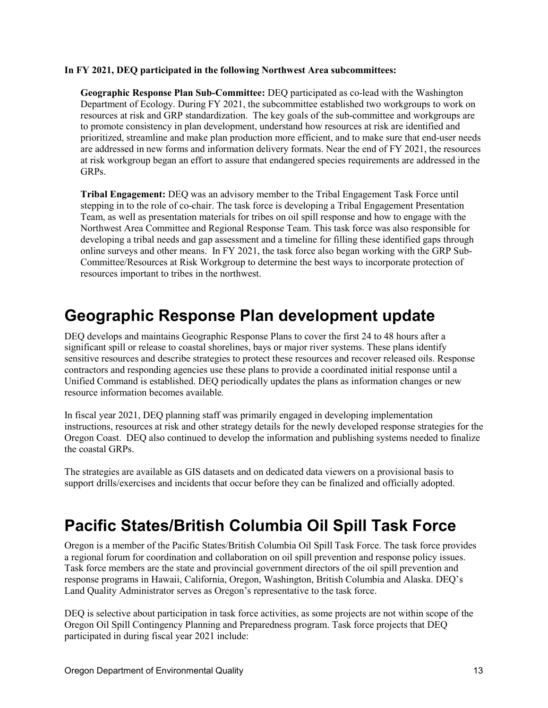#### **In FY 2021, DEQ participated in the following Northwest Area subcommittees:**

**Geographic Response Plan Sub-Committee:** DEQ participated as co-lead with the Washington Department of Ecology. During FY 2021, the subcommittee established two workgroups to work on resources at risk and GRP standardization. The key goals of the sub-committee and workgroups are to promote consistency in plan development, understand how resources at risk are identified and prioritized, streamline and make plan production more efficient, and to make sure that end-user needs are addressed in new forms and information delivery formats. Near the end of FY 2021, the resources at risk workgroup began an effort to assure that endangered species requirements are addressed in the GRPs.

**Tribal Engagement:** DEQ was an advisory member to the Tribal Engagement Task Force until stepping in to the role of co-chair. The task force is developing a Tribal Engagement Presentation Team, as well as presentation materials for tribes on oil spill response and how to engage with the Northwest Area Committee and Regional Response Team. This task force was also responsible for developing a tribal needs and gap assessment and a timeline for filling these identified gaps through online surveys and other means. In FY 2021, the task force also began working with the GRP Sub-Committee/Resources at Risk Workgroup to determine the best ways to incorporate protection of resources important to tribes in the northwest.

#### <span id="page-12-0"></span>**Geographic Response Plan development update**

DEQ develops and maintains Geographic Response Plans to cover the first 24 to 48 hours after a significant spill or release to coastal shorelines, bays or major river systems. These plans identify sensitive resources and describe strategies to protect these resources and recover released oils. Response contractors and responding agencies use these plans to provide a coordinated initial response until a Unified Command is established. DEQ periodically updates the plans as information changes or new resource information becomes available*.* 

In fiscal year 2021, DEQ planning staff was primarily engaged in developing implementation instructions, resources at risk and other strategy details for the newly developed response strategies for the Oregon Coast. DEQ also continued to develop the information and publishing systems needed to finalize the coastal GRPs.

The strategies are available as GIS datasets and on dedicated data viewers on a provisional basis to support drills/exercises and incidents that occur before they can be finalized and officially adopted.

#### <span id="page-12-1"></span>**Pacific States/British Columbia Oil Spill Task Force**

Oregon is a member of the Pacific States/British Columbia Oil Spill Task Force. The task force provides a regional forum for coordination and collaboration on oil spill prevention and response policy issues. Task force members are the state and provincial government directors of the oil spill prevention and response programs in Hawaii, California, Oregon, Washington, British Columbia and Alaska. DEQ's Land Quality Administrator serves as Oregon's representative to the task force.

DEQ is selective about participation in task force activities, as some projects are not within scope of the Oregon Oil Spill Contingency Planning and Preparedness program. Task force projects that DEQ participated in during fiscal year 2021 include: